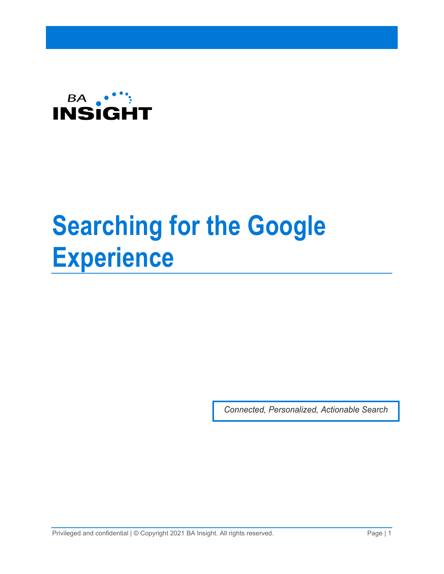

# **Searching for the Google Experience**

*Connected, Personalized, Actionable Search*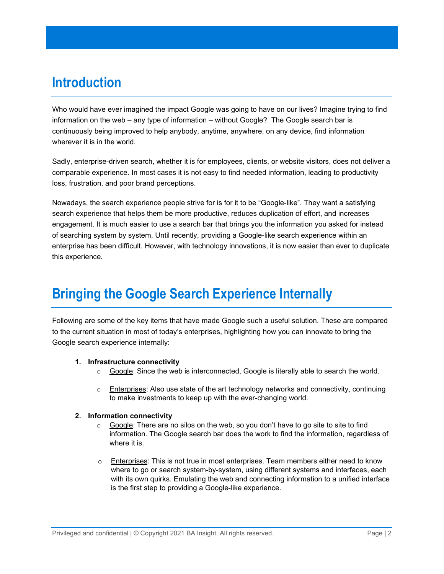## **Introduction**

Who would have ever imagined the impact Google was going to have on our lives? Imagine trying to find information on the web – any type of information – without Google? The Google search bar is continuously being improved to help anybody, anytime, anywhere, on any device, find information wherever it is in the world.

Sadly, enterprise-driven search, whether it is for employees, clients, or website visitors, does not deliver a comparable experience. In most cases it is not easy to find needed information, leading to productivity loss, frustration, and poor brand perceptions.

Nowadays, the search experience people strive for is for it to be "Google-like". They want a satisfying search experience that helps them be more productive, reduces duplication of effort, and increases engagement. It is much easier to use a search bar that brings you the information you asked for instead of searching system by system. Until recently, providing a Google-like search experience within an enterprise has been difficult. However, with technology innovations, it is now easier than ever to duplicate this experience.

# **Bringing the Google Search Experience Internally**

Following are some of the key items that have made Google such a useful solution. These are compared to the current situation in most of today's enterprises, highlighting how you can innovate to bring the Google search experience internally:

#### **1. Infrastructure connectivity**

- $\circ$  Google: Since the web is interconnected, Google is literally able to search the world.
- o Enterprises: Also use state of the art technology networks and connectivity, continuing to make investments to keep up with the ever-changing world.

#### **2. Information connectivity**

- $\circ$  Google: There are no silos on the web, so you don't have to go site to site to find information. The Google search bar does the work to find the information, regardless of where it is.
- $\circ$  Enterprises: This is not true in most enterprises. Team members either need to know where to go or search system-by-system, using different systems and interfaces, each with its own quirks. Emulating the web and connecting information to a unified interface is the first step to providing a Google-like experience.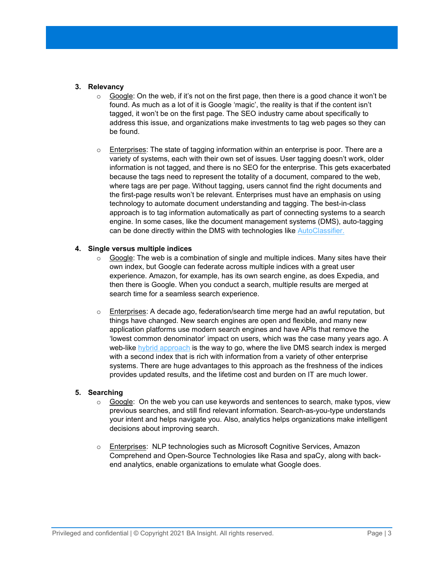#### **3. Relevancy**

- $\circ$  Google: On the web, if it's not on the first page, then there is a good chance it won't be found. As much as a lot of it is Google 'magic', the reality is that if the content isn't tagged, it won't be on the first page. The SEO industry came about specifically to address this issue, and organizations make investments to tag web pages so they can be found.
- o Enterprises: The state of tagging information within an enterprise is poor. There are a variety of systems, each with their own set of issues. User tagging doesn't work, older information is not tagged, and there is no SEO for the enterprise. This gets exacerbated because the tags need to represent the totality of a document, compared to the web, where tags are per page. Without tagging, users cannot find the right documents and the first-page results won't be relevant. Enterprises must have an emphasis on using technology to automate document understanding and tagging. The best-in-class approach is to tag information automatically as part of connecting systems to a search engine. In some cases, like the document management systems (DMS), auto-tagging can be done directly within the DMS with technologies like [AutoClassifier.](https://www.bainsight.com/classification/)

#### **4. Single versus multiple indices**

- $\circ$  Google: The web is a combination of single and multiple indices. Many sites have their own index, but Google can federate across multiple indices with a great user experience. Amazon, for example, has its own search engine, as does Expedia, and then there is Google. When you conduct a search, multiple results are merged at search time for a seamless search experience.
- $\circ$  Enterprises: A decade ago, federation/search time merge had an awful reputation, but things have changed. New search engines are open and flexible, and many new application platforms use modern search engines and have APIs that remove the 'lowest common denominator' impact on users, which was the case many years ago. A web-like [hybrid approach](https://www.bainsight.com/media/Whitepapers/Hybrid-Federated-Search-Whitepaper-Final.pdf) is the way to go, where the live DMS search index is merged with a second index that is rich with information from a variety of other enterprise systems. There are huge advantages to this approach as the freshness of the indices provides updated results, and the lifetime cost and burden on IT are much lower.

#### **5. Searching**

- $\circ$  Google: On the web you can use keywords and sentences to search, make typos, view previous searches, and still find relevant information. Search-as-you-type understands your intent and helps navigate you. Also, analytics helps organizations make intelligent decisions about improving search.
- o Enterprises: NLP technologies such as Microsoft Cognitive Services, Amazon Comprehend and Open-Source Technologies like Rasa and spaCy, along with backend analytics, enable organizations to emulate what Google does.